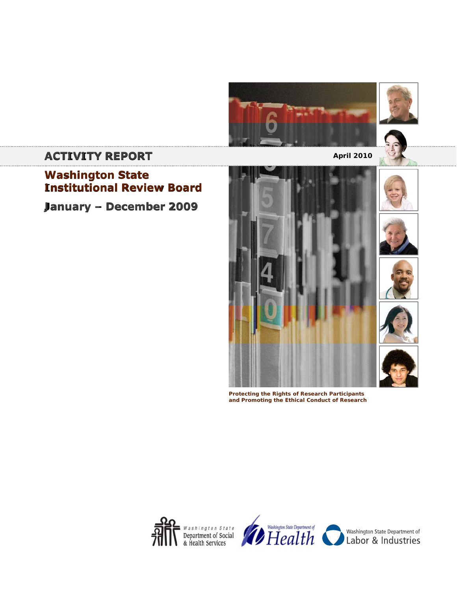



# **ACTIVITY REPORT ACTIVITY REPORT**

**Washington State Institutional Review Board**

**January – December 2009**



**Protecting the Rights of Research Participants and Promoting the Ethical Conduct of Research**



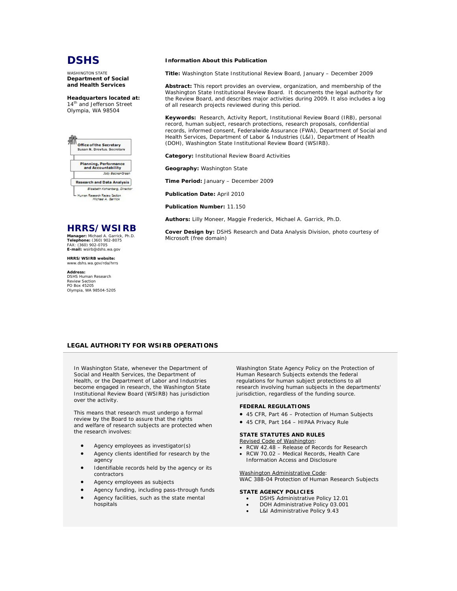

WASHINGTON STATE **Department of Social and Health Services**

**Headquarters located at:** 14<sup>th</sup> and Jefferson Street Olympia, WA 98504



**Research and Data Analysis** Elizabeth Kohlenberg, Direct iuman Research Review Section<br>Mic*hael A. Garrick* 

**HRRS/WSIRB**

**Manager:** Michael A. Garrick, Ph.D. **Telephone:** (360) 902-8075 FAX: (360) 902-0705 **E-mail:** wsirb@dshs.wa.gov

**HRRS/WSIRB website:** www.dshs.wa.gov/rda/hrrs

**Address:** DSHS Human Research Review Section PO Box 45205 Olympia, WA 98504-5205

#### **Information About this Publication**

**Title:** Washington State Institutional Review Board, January – December 2009

**Abstract:** This report provides an overview, organization, and membership of the Washington State Institutional Review Board. It documents the legal authority for the Review Board, and describes major activities during 2009. It also includes a log of all research projects reviewed during this period.

**Keywords:** Research, Activity Report, Institutional Review Board (IRB), personal record, human subject, research protections, research proposals, confidential records, informed consent, Federalwide Assurance (FWA), Department of Social and Health Services, Department of Labor & Industries (L&I), Department of Health (DOH), Washington State Institutional Review Board (WSIRB).

**Category:** Institutional Review Board Activities

**Geography:** Washington State

**Time Period:** January – December 2009

**Publication Date:** April 2010

**Publication Number:** 11.150

**Authors:** Lilly Moneer, Maggie Frederick, Michael A. Garrick, Ph.D.

**Cover Design by:** DSHS Research and Data Analysis Division, photo courtesy of Microsoft (free domain)

# **LEGAL AUTHORITY FOR WSIRB OPERATIONS**

In Washington State, whenever the Department of Social and Health Services, the Department of Health, or the Department of Labor and Industries become engaged in research, the Washington State Institutional Review Board (WSIRB) has jurisdiction over the activity.

This means that research must undergo a formal review by the Board to assure that the rights and welfare of research subjects are protected when the research involves:

- Agency employees as investigator(s)
- Agency clients identified for research by the agency
- Identifiable records held by the agency or its contractors
- Agency employees as subjects
- Agency funding, including pass-through funds
- Agency facilities, such as the state mental hospitals

*Washington State Agency Policy on the Protection of Human Research Subjects* extends the federal regulations for human subject protections to all research involving human subjects in the departments' jurisdiction, regardless of the funding source.

### **FEDERAL REGULATIONS**

- 45 CFR, Part 46 Protection of Human Subjects
- 45 CFR, Part 164 HIPAA Privacy Rule

#### **STATE STATUTES AND RULES**

Revised Code of Washington:

- RCW 42.48 Release of Records for Research
- RCW 70.02 Medical Records, Health Care Information Access and Disclosure

Washington Administrative Code: WAC 388-04 Protection of Human Research Subjects

#### **STATE AGENCY POLICIES**

- DSHS Administrative Policy 12.01
	- DOH Administrative Policy 03.001
	- L&I Administrative Policy 9.43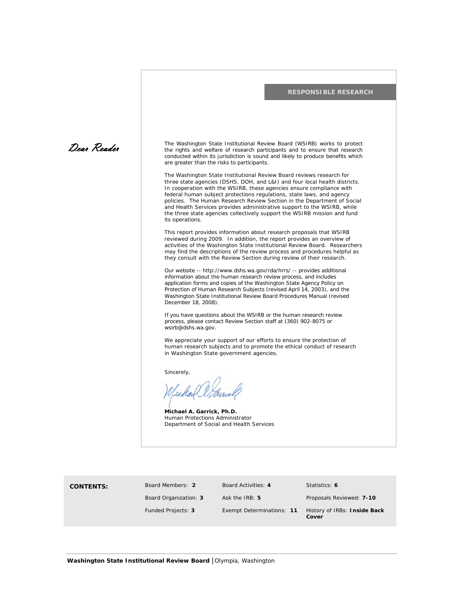

**Board Members: 2** Board Organization: **3** Board Activities: **4**  Ask the IRB: **5** 

Statistics: **6**

Proposals Reviewed: **7-10** Funded Projects: **3** Exempt Determinations: **11** History of IRBs: **Inside Back Cover**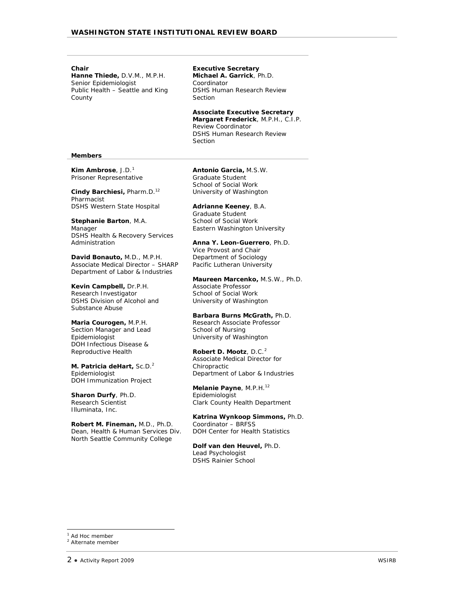**Chair** 

**Hanne Thiede,** D.V.M., M.P.H. Senior Epidemiologist Public Health – Seattle and King County

**Executive Secretary Michael A. Garrick**, Ph.D. Coordinator DSHS Human Research Review Section

**Associate Executive Secretary Margaret Frederick**, M.P.H., C.I.P. Review Coordinator DSHS Human Research Review **Section** 

## **Members**

**Kim Ambrose**, J.D.[1](#page-3-0) Prisoner Representative

**Cindy Barchiesi,** Pharm.D.12 Pharmacist DSHS Western State Hospital

**Stephanie Barton**, M.A. Manager DSHS Health & Recovery Services Administration

**David Bonauto,** M.D., M.P.H. Associate Medical Director – SHARP Department of Labor & Industries

**Kevin Campbell,** Dr.P.H. Research Investigator DSHS Division of Alcohol and Substance Abuse

**Maria Courogen,** M.P.H. Section Manager and Lead Epidemiologist DOH Infectious Disease & Reproductive Health

**M. Patricia deHart,** Sc.D.2 Epidemiologist DOH Immunization Project

**Sharon Durfy**, Ph.D. Research Scientist Illuminata, Inc.

**Robert M. Fineman,** M.D., Ph.D. Dean, Health & Human Services Div. North Seattle Community College

**Antonio Garcia,** M.S.W. Graduate Student School of Social Work University of Washington

**Adrianne Keeney**, B.A. Graduate Student School of Social Work Eastern Washington University

**Anna Y. Leon-Guerrero**, Ph.D. Vice Provost and Chair Department of Sociology Pacific Lutheran University

**Maureen Marcenko,** M.S.W., Ph.D. Associate Professor School of Social Work University of Washington

**Barbara Burns McGrath,** Ph.D. Research Associate Professor School of Nursing University of Washington

**Robert D. Mootz**, D.C.<sup>[2](#page-3-1)</sup> Associate Medical Director for Chiropractic Department of Labor & Industries

**Melanie Payne**, M.P.H.12 Epidemiologist Clark County Health Department

**Katrina Wynkoop Simmons,** Ph.D. Coordinator – BRFSS DOH Center for Health Statistics

**Dolf van den Heuvel,** Ph.D. Lead Psychologist DSHS Rainier School

<span id="page-3-1"></span><span id="page-3-0"></span> $<sup>1</sup>$  Ad Hoc member</sup> <sup>2</sup> Alternate member

j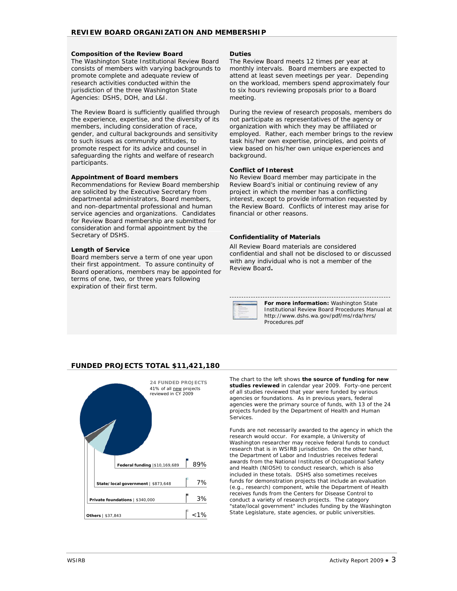# **Composition of the Review Board**

The Washington State Institutional Review Board consists of members with varying backgrounds to promote complete and adequate review of research activities conducted within the jurisdiction of the three Washington State Agencies: DSHS, DOH, and L&I.

The Review Board is sufficiently qualified through the experience, expertise, and the diversity of its members, including consideration of race, gender, and cultural backgrounds and sensitivity to such issues as community attitudes, to promote respect for its advice and counsel in safeguarding the rights and welfare of research participants.

# **Appointment of Board members**

Recommendations for Review Board membership are solicited by the Executive Secretary from departmental administrators, Board members, and non-departmental professional and human service agencies and organizations. Candidates for Review Board membership are submitted for consideration and formal appointment by the Secretary of DSHS.

## **Length of Service**

Board members serve a term of one year upon their first appointment. To assure continuity of Board operations, members may be appointed for terms of one, two, or three years following expiration of their first term.

## **Duties**

The Review Board meets 12 times per year at monthly intervals. Board members are expected to attend at least seven meetings per year. Depending on the workload, members spend approximately four to six hours reviewing proposals prior to a Board meeting.

During the review of research proposals, members do not participate as representatives of the agency or organization with which they may be affiliated or employed. Rather, each member brings to the review task his/her own expertise, principles, and points of view based on his/her own unique experiences and background.

# **Conflict of Interest**

No Review Board member may participate in the Review Board's initial or continuing review of any project in which the member has a conflicting interest, except to provide information requested by the Review Board. Conflicts of interest may arise for financial or other reasons.

# **Confidentiality of Materials**

All Review Board materials are considered confidential and shall not be disclosed to or discussed with any individual who is not a member of the Review Board*.*

--------------------------------------------------------------------

**For more information:** Washington State Institutional Review Board Procedures Manual at http://www.dshs.wa.gov/pdf/ms/rda/hrrs/ Procedures.pdf

# **FUNDED PROJECTS TOTAL \$11,421,180**



The chart to the left shows **the source of funding for new studies reviewed** in calendar year 2009. Forty-one percent of all studies reviewed that year were funded by various agencies or foundations. As in previous years, federal agencies were the primary source of funds, with 13 of the 24 projects funded by the Department of Health and Human **Services** 

Funds are not necessarily awarded to the agency in which the research would occur. For example, a University of Washington researcher may receive federal funds to conduct research that is in WSIRB jurisdiction. On the other hand, the Department of Labor and Industries receives federal awards from the National Institutes of Occupational Safety and Health (NIOSH) to conduct research, which is also included in these totals. DSHS also sometimes receives funds for demonstration projects that include an evaluation (e.g., research) component, while the Department of Health receives funds from the Centers for Disease Control to conduct a variety of research projects. The category "state/local government" includes funding by the Washington State Legislature, state agencies, or public universities.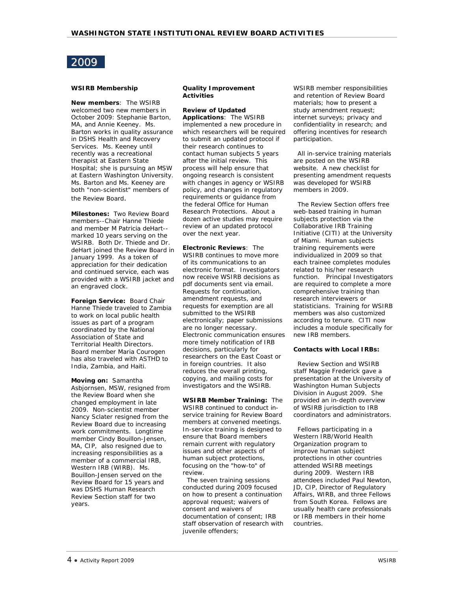# 2009

# **WSIRB Membership**

**New members**: The WSIRB welcomed two new members in October 2009: Stephanie Barton, MA, and Annie Keeney. Ms. Barton works in quality assurance in DSHS Health and Recovery Services. Ms. Keeney until recently was a recreational therapist at Eastern State Hospital; she is pursuing an MSW at Eastern Washington University. Ms. Barton and Ms. Keeney are both "non-scientist" members of the Review Board.

**Milestones:** Two Review Board members--Chair Hanne Thiede and member M Patricia deHart- marked 10 years serving on the WSIRB. Both Dr. Thiede and Dr. deHart joined the Review Board in January 1999. As a token of appreciation for their dedication and continued service, each was provided with a WSIRB jacket and an engraved clock.

**Foreign Service:** Board Chair Hanne Thiede traveled to Zambia to work on local public health issues as part of a program coordinated by the National Association of State and Territorial Health Directors. Board member Maria Courogen has also traveled with ASTHD to India, Zambia, and Haiti.

**Moving on:** Samantha Asbjornsen, MSW, resigned from the Review Board when she changed employment in late 2009. Non-scientist member Nancy Sclater resigned from the Review Board due to increasing work commitments. Longtime member Cindy Bouillon-Jensen, MA, CIP, also resigned due to increasing responsibilities as a member of a commercial IRB, Western IRB (WIRB). Ms. Bouillon-Jensen served on the Review Board for 15 years and was DSHS Human Research Review Section staff for two years.

# **Quality Improvement Activities**

# **Review of Updated**

**Applications**: The WSIRB implemented a new procedure in which researchers will be required to submit an updated protocol if their research continues to contact human subjects 5 years after the initial review. This process will help ensure that ongoing research is consistent with changes in agency or WSIRB policy, and changes in regulatory requirements or guidance from the federal Office for Human Research Protections. About a dozen active studies may require review of an updated protocol over the next year.

**Electronic Reviews**: The WSIRB continues to move more of its communications to an electronic format. Investigators now receive WSIRB decisions as pdf documents sent via email. Requests for continuation, amendment requests, and requests for exemption are all submitted to the WSIRB electronically; paper submissions are no longer necessary. Electronic communication ensures more timely notification of IRB decisions, particularly for researchers on the East Coast or in foreign countries. It also reduces the overall printing, copying, and mailing costs for investigators and the WSIRB.

**WSIRB Member Training:** The WSIRB continued to conduct inservice training for Review Board members at convened meetings. In-service training is designed to ensure that Board members remain current with regulatory issues and other aspects of human subject protections, focusing on the "how-to" of review.

 The seven training sessions conducted during 2009 focused on how to present a continuation approval request; waivers of consent and waivers of documentation of consent; IRB staff observation of research with juvenile offenders;

WSIRB member responsibilities and retention of Review Board materials; how to present a study amendment request; internet surveys; privacy and confidentiality in research; and offering incentives for research participation.

 All in-service training materials are posted on the WSIRB website. A new checklist for presenting amendment requests was developed for WSIRB members in 2009.

 The Review Section offers free web-based training in human subjects protection via the Collaborative IRB Training Initiative (CITI) at the University of Miami. Human subjects training requirements were individualized in 2009 so that each trainee completes modules related to his/her research function. Principal Investigators are required to complete a more comprehensive training than research interviewers or statisticians. Training for WSIRB members was also customized according to tenure. CITI now includes a module specifically for new IRB members.

# **Contacts with Local IRBs:**

 Review Section and WSIRB staff Maggie Frederick gave a presentation at the University of Washington Human Subjects Division in August 2009. She provided an in-depth overview of WSIRB jurisdiction to IRB coordinators and administrators.

 Fellows participating in a Western IRB/World Health Organization program to improve human subject protections in other countries attended WSIRB meetings during 2009. Western IRB attendees included Paul Newton, JD, CIP, Director of Regulatory Affairs, WIRB, and three Fellows from South Korea. Fellows are usually health care professionals or IRB members in their home countries.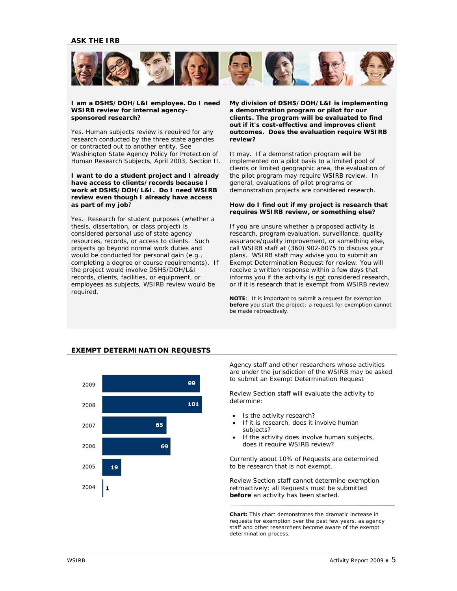

## *I am a DSHS/DOH/L&I employee. Do I need WSIRB review for internal agencysponsored research?*

Yes. Human subjects review is required for *any* research conducted by the three state agencies or contracted out to another entity. See *Washington State Agency Policy for Protection of Human Research Subjects*, April 2003, Section II.

## *I want to do a student project and I already have access to clients/records because I work at DSHS/DOH/L&I. Do I need WSIRB review even though I already have access as part of my job?*

Yes. Research for student purposes (whether a thesis, dissertation, or class project) is considered *personal* use of state agency resources, records, or access to clients. Such projects go beyond normal work duties and would be conducted for *personal* gain (e.g., completing a degree or course requirements). If the project would involve DSHS/DOH/L&I records, clients, facilities, or equipment, or employees as subjects, WSIRB review would be required.

*My division of DSHS/DOH/L&I is implementing a demonstration program or pilot for our clients. The program will be evaluated to find out if it's cost-effective and improves client outcomes. Does the evaluation require WSIRB review?*

It may. If a demonstration program will be implemented on a pilot basis to a limited pool of clients or limited geographic area, the evaluation of the pilot program may require WSIRB review. In general, evaluations of pilot programs or demonstration projects are considered *research*.

## *How do I find out if my project is research that requires WSIRB review, or something else?*

If you are unsure whether a proposed activity is research, program evaluation, surveillance, quality assurance/quality improvement, or something else, call WSIRB staff at (360) 902-8075 to discuss your plans. WSIRB staff may advise you to submit an Exempt Determination Request for review. You will receive a written response within a few days that informs you if the activity is not considered research, or if it is research that is exempt from WSIRB review.

**NOTE**: It is important to submit a request for exemption **before** you start the project; a request for exemption cannot be made retroactively.

# **EXEMPT DETERMINATION REQUESTS**



Agency staff and other researchers whose activities are under the jurisdiction of the WSIRB may be asked to submit a[n Exempt Determination Request](http://www.dshs.wa.gov/rda/hrrs/default.shtm)

Review Section staff will evaluate the activity to determine:

- Is the activity research?
- If it is research, does it involve human subjects?
- If the activity does involve human subjects, does it require WSIRB review?

Currently about 10% of Requests are determined to be research that is not exempt.

Review Section staff cannot determine exemption retroactively; all Requests must be submitted **before** an activity has been started.

**Chart:** This chart demonstrates the dramatic increase in requests for exemption over the past few years, as agency staff and other researchers become aware of the exempt determination process.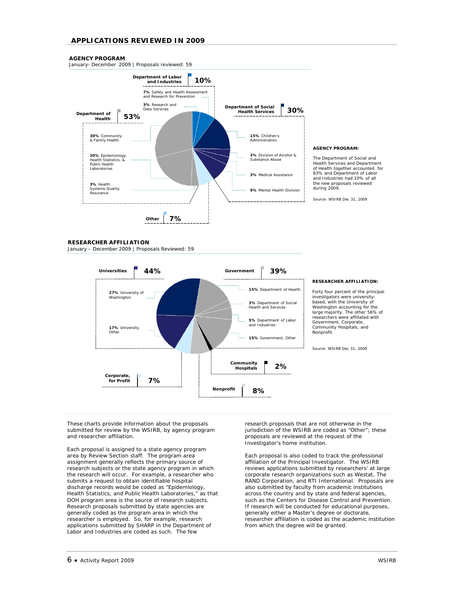# **APPLICATIONS REVIEWED IN 2009**

## **AGENCY PROGRAM**

January- December 2009 | Proposals reviewed: 59



#### **AGENCY PROGRAM:**

The Department of Social and Health Services and Department of Health together accounted for 83% and Department of Labor and Industries had 10% of all the new proposals reviewed during 2009.

Source: WSIRB Dec 31, 2009

#### **RESEARCHER AFFILIATION**

January – December 2009 | Proposals Reviewed: 59



#### **RESEARCHER AFFILIATION:**

Forty four percent of the principal investigators were university-based, with the University of Washington accounting for the large majority. The other 56% of researchers were affiliated with Government, Corporate, Community Hospitals, and Nonprofit.

Source: WSIRB Dec 31, 2009

These charts provide information about the proposals submitted for review by the WSIRB, by agency program and researcher affiliation.

Each proposal is assigned to a state agency program area by Review Section staff. The program area assignment generally reflects the primary source of research subjects or the state agency program in which the research will occur. For example, a researcher who submits a request to obtain identifiable hospital discharge records would be coded as "Epidemiology, Health Statistics, and Public Health Laboratories," as that DOH program area is the source of research subjects. Research proposals submitted by state agencies are generally coded as the program area in which the researcher is employed. So, for example, research applications submitted by SHARP in the Department of Labor and Industries are coded as such. The few

research proposals that are not otherwise in the jurisdiction of the WSIRB are coded as "Other"; these proposals are reviewed at the request of the Investigator's home institution.

Each proposal is also coded to track the professional affiliation of the Principal Investigator. The WSIRB reviews applications submitted by researchers' at large corporate research organizations such as Westat, The RAND Corporation, and RTI International. Proposals are also submitted by faculty from academic institutions across the country and by state and federal agencies, such as the Centers for Disease Control and Prevention. If research will be conducted for educational purposes, generally either a Master's degree or doctorate, researcher affiliation is coded as the academic institution from which the degree will be granted.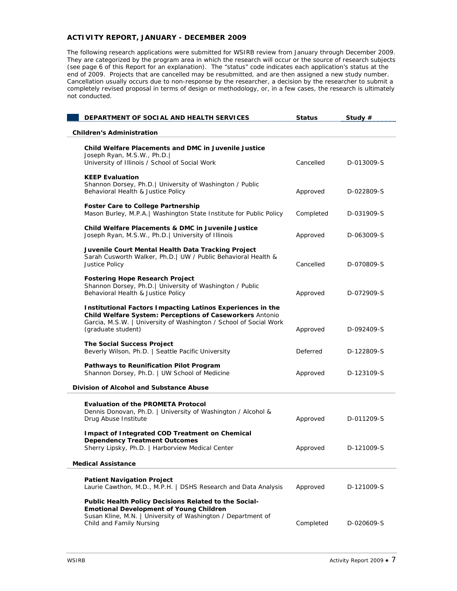# **ACTIVITY REPORT, JANUARY - DECEMBER 2009**

The following research applications were submitted for WSIRB review from January through December 2009. They are categorized by the program area in which the research will occur or the source of research subjects (see page 6 of this Report for an explanation). The "status" code indicates each application's status at the end of 2009. Projects that are cancelled may be resubmitted, and are then assigned a new study number. Cancellation usually occurs due to non-response by the researcher, a decision by the researcher to submit a completely revised proposal in terms of design or methodology, or, in a few cases, the research is ultimately not conducted.

| DEPARTMENT OF SOCIAL AND HEALTH SERVICES                                                                                                                                                                                 | <b>Status</b> | Study $#$  |
|--------------------------------------------------------------------------------------------------------------------------------------------------------------------------------------------------------------------------|---------------|------------|
| <b>Children's Administration</b>                                                                                                                                                                                         |               |            |
| <b>Child Welfare Placements and DMC in Juvenile Justice</b><br>Joseph Ryan, M.S.W., Ph.D.                                                                                                                                |               |            |
| University of Illinois / School of Social Work                                                                                                                                                                           | Cancelled     | D-013009-S |
| <b>KEEP Evaluation</b><br>Shannon Dorsey, Ph.D.   University of Washington / Public<br>Behavioral Health & Justice Policy                                                                                                | Approved      | D-022809-S |
| <b>Foster Care to College Partnership</b><br>Mason Burley, M.P.A.   Washington State Institute for Public Policy                                                                                                         | Completed     | D-031909-S |
| Child Welfare Placements & DMC in Juvenile Justice<br>Joseph Ryan, M.S.W., Ph.D.   University of Illinois                                                                                                                | Approved      | D-063009-S |
| Juvenile Court Mental Health Data Tracking Project<br>Sarah Cusworth Walker, Ph.D.   UW / Public Behavioral Health &<br>Justice Policy                                                                                   | Cancelled     | D-070809-S |
| <b>Fostering Hope Research Project</b><br>Shannon Dorsey, Ph.D.   University of Washington / Public<br>Behavioral Health & Justice Policy                                                                                | Approved      | D-072909-S |
| <b>Institutional Factors Impacting Latinos Experiences in the</b><br>Child Welfare System: Perceptions of Caseworkers Antonio<br>Garcia, M.S.W.   University of Washington / School of Social Work<br>(graduate student) | Approved      | D-092409-S |
| <b>The Social Success Project</b><br>Beverly Wilson, Ph.D.   Seattle Pacific University                                                                                                                                  | Deferred      | D-122809-S |
| Pathways to Reunification Pilot Program<br>Shannon Dorsey, Ph.D.   UW School of Medicine                                                                                                                                 | Approved      | D-123109-S |
| <b>Division of Alcohol and Substance Abuse</b>                                                                                                                                                                           |               |            |
| <b>Evaluation of the PROMETA Protocol</b><br>Dennis Donovan, Ph.D.   University of Washington / Alcohol &<br>Drug Abuse Institute                                                                                        | Approved      | D-011209-S |
| Impact of Integrated COD Treatment on Chemical<br><b>Dependency Treatment Outcomes</b><br>Sherry Lipsky, Ph.D.   Harborview Medical Center                                                                               | Approved      | D-121009-S |
| <b>Medical Assistance</b>                                                                                                                                                                                                |               |            |
| <b>Patient Navigation Project</b><br>Laurie Cawthon, M.D., M.P.H.   DSHS Research and Data Analysis                                                                                                                      | Approved      | D-121009-S |
| Public Health Policy Decisions Related to the Social-<br><b>Emotional Development of Young Children</b><br>Susan Kline, M.N.   University of Washington / Department of<br>Child and Family Nursing                      | Completed     | D-020609-S |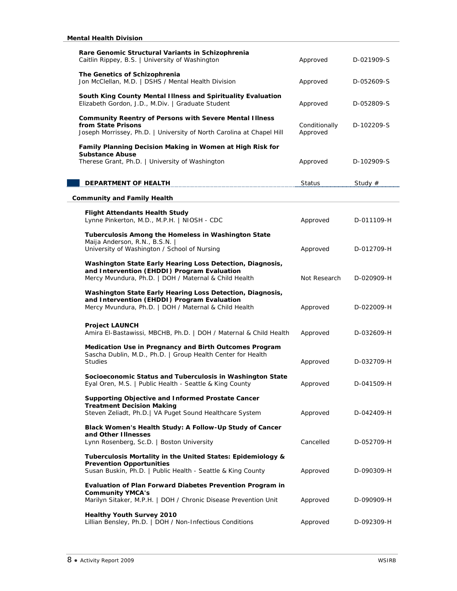| Rare Genomic Structural Variants in Schizophrenia<br>Caitlin Rippey, B.S.   University of Washington                                                              | Approved                  | D-021909-S |
|-------------------------------------------------------------------------------------------------------------------------------------------------------------------|---------------------------|------------|
| The Genetics of Schizophrenia<br>Jon McClellan, M.D.   DSHS / Mental Health Division                                                                              | Approved                  | D-052609-S |
| South King County Mental Illness and Spirituality Evaluation<br>Elizabeth Gordon, J.D., M.Div.   Graduate Student                                                 | Approved                  | D-052809-S |
| <b>Community Reentry of Persons with Severe Mental Illness</b><br>from State Prisons<br>Joseph Morrissey, Ph.D.   University of North Carolina at Chapel Hill     | Conditionally<br>Approved | D-102209-S |
| Family Planning Decision Making in Women at High Risk for<br><b>Substance Abuse</b>                                                                               |                           |            |
| Therese Grant, Ph.D.   University of Washington                                                                                                                   | Approved                  | D-102909-S |
| DEPARTMENT OF HEALTH                                                                                                                                              | Status                    | Study #    |
| <b>Community and Family Health</b>                                                                                                                                |                           |            |
| <b>Flight Attendants Health Study</b><br>Lynne Pinkerton, M.D., M.P.H.   NIOSH - CDC                                                                              | Approved                  | D-011109-H |
| Tuberculosis Among the Homeless in Washington State<br>Maija Anderson, R.N., B.S.N.  <br>University of Washington / School of Nursing                             | Approved                  | D-012709-H |
| Washington State Early Hearing Loss Detection, Diagnosis,<br>and Intervention (EHDDI) Program Evaluation<br>Mercy Mvundura, Ph.D.   DOH / Maternal & Child Health | Not Research              | D-020909-H |
| Washington State Early Hearing Loss Detection, Diagnosis,<br>and Intervention (EHDDI) Program Evaluation<br>Mercy Mvundura, Ph.D.   DOH / Maternal & Child Health | Approved                  | D-022009-H |
| <b>Project LAUNCH</b><br>Amira El-Bastawissi, MBCHB, Ph.D.   DOH / Maternal & Child Health                                                                        | Approved                  | D-032609-H |
| Medication Use in Pregnancy and Birth Outcomes Program<br>Sascha Dublin, M.D., Ph.D.   Group Health Center for Health<br><b>Studies</b>                           | Approved                  | D-032709-H |
| Socioeconomic Status and Tuberculosis in Washington State<br>Eyal Oren, M.S.   Public Health - Seattle & King County                                              | Approved                  | D-041509-H |
| Supporting Objective and Informed Prostate Cancer<br><b>Treatment Decision Making</b><br>Steven Zeliadt, Ph.D.   VA Puget Sound Healthcare System                 | Approved                  | D-042409-H |
| Black Women's Health Study: A Follow-Up Study of Cancer<br>and Other Illnesses<br>Lynn Rosenberg, Sc.D.   Boston University                                       | Cancelled                 | D-052709-H |
| Tuberculosis Mortality in the United States: Epidemiology &<br><b>Prevention Opportunities</b><br>Susan Buskin, Ph.D.   Public Health - Seattle & King County     | Approved                  | D-090309-H |
| Evaluation of Plan Forward Diabetes Prevention Program in<br><b>Community YMCA's</b><br>Marilyn Sitaker, M.P.H.   DOH / Chronic Disease Prevention Unit           | Approved                  | D-090909-H |
| <b>Healthy Youth Survey 2010</b><br>Lillian Bensley, Ph.D.   DOH / Non-Infectious Conditions                                                                      | Approved                  | D-092309-H |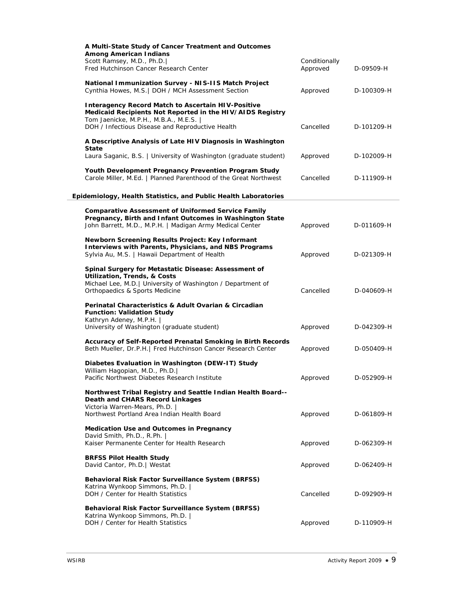| A Multi-State Study of Cancer Treatment and Outcomes                                                                                                                                                                 |                           |            |
|----------------------------------------------------------------------------------------------------------------------------------------------------------------------------------------------------------------------|---------------------------|------------|
| <b>Among American Indians</b>                                                                                                                                                                                        |                           |            |
| Scott Ramsey, M.D., Ph.D.<br>Fred Hutchinson Cancer Research Center                                                                                                                                                  | Conditionally<br>Approved | D-09509-H  |
| National Immunization Survey - NIS-IIS Match Project<br>Cynthia Howes, M.S.   DOH / MCH Assessment Section                                                                                                           | Approved                  | D-100309-H |
| <b>Interagency Record Match to Ascertain HIV-Positive</b><br>Medicaid Recipients Not Reported in the HIV/AIDS Registry<br>Tom Jaenicke, M.P.H., M.B.A., M.E.S.  <br>DOH / Infectious Disease and Reproductive Health | Cancelled                 | D-101209-H |
| A Descriptive Analysis of Late HIV Diagnosis in Washington<br>State<br>Laura Saganic, B.S.   University of Washington (graduate student)                                                                             | Approved                  | D-102009-H |
| Youth Development Pregnancy Prevention Program Study<br>Carole Miller, M.Ed.   Planned Parenthood of the Great Northwest                                                                                             | Cancelled                 | D-111909-H |
| Epidemiology, Health Statistics, and Public Health Laboratories                                                                                                                                                      |                           |            |
|                                                                                                                                                                                                                      |                           |            |
| <b>Comparative Assessment of Uniformed Service Family</b><br>Pregnancy, Birth and Infant Outcomes in Washington State<br>John Barrett, M.D., M.P.H.   Madigan Army Medical Center                                    | Approved                  | D-011609-H |
| Newborn Screening Results Project: Key Informant<br><b>Interviews with Parents, Physicians, and NBS Programs</b><br>Sylvia Au, M.S.   Hawaii Department of Health                                                    | Approved                  | D-021309-H |
| Spinal Surgery for Metastatic Disease: Assessment of<br><b>Utilization, Trends, &amp; Costs</b><br>Michael Lee, M.D.   University of Washington / Department of<br>Orthopaedics & Sports Medicine                    | Cancelled                 | D-040609-H |
| Perinatal Characteristics & Adult Ovarian & Circadian<br><b>Function: Validation Study</b><br>Kathryn Adeney, M.P.H.  <br>University of Washington (graduate student)                                                | Approved                  | D-042309-H |
| Accuracy of Self-Reported Prenatal Smoking in Birth Records<br>Beth Mueller, Dr.P.H.   Fred Hutchinson Cancer Research Center                                                                                        | Approved                  | D-050409-H |
| Diabetes Evaluation in Washington (DEW-IT) Study<br>William Hagopian, M.D., Ph.D.                                                                                                                                    |                           |            |
| Pacific Northwest Diabetes Research Institute<br>Northwest Tribal Registry and Seattle Indian Health Board--                                                                                                         | Approved                  | D-052909-H |
| Death and CHARS Record Linkages<br>Victoria Warren-Mears, Ph.D.                                                                                                                                                      |                           |            |
| Northwest Portland Area Indian Health Board                                                                                                                                                                          | Approved                  | D-061809-H |
| <b>Medication Use and Outcomes in Pregnancy</b><br>David Smith, Ph.D., R.Ph.  <br>Kaiser Permanente Center for Health Research                                                                                       | Approved                  | D-062309-H |
| <b>BRFSS Pilot Health Study</b><br>David Cantor, Ph.D.   Westat                                                                                                                                                      | Approved                  | D-062409-H |
| Behavioral Risk Factor Surveillance System (BRFSS)<br>Katrina Wynkoop Simmons, Ph.D.  <br>DOH / Center for Health Statistics                                                                                         | Cancelled                 | D-092909-H |
| Behavioral Risk Factor Surveillance System (BRFSS)<br>Katrina Wynkoop Simmons, Ph.D.  <br>DOH / Center for Health Statistics                                                                                         | Approved                  | D-110909-H |
|                                                                                                                                                                                                                      |                           |            |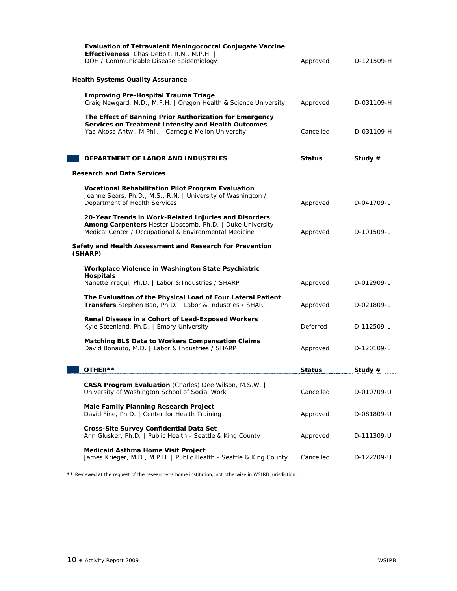| <b>Evaluation of Tetravalent Meningococcal Conjugate Vaccine</b><br>Effectiveness Chas DeBolt, R.N., M.P.H.  <br>DOH / Communicable Disease Epidemiology<br><b>Health Systems Quality Assurance</b> | Approved      | D-121509-H |
|-----------------------------------------------------------------------------------------------------------------------------------------------------------------------------------------------------|---------------|------------|
|                                                                                                                                                                                                     |               |            |
| <b>Improving Pre-Hospital Trauma Triage</b><br>Craig Newgard, M.D., M.P.H.   Oregon Health & Science University                                                                                     | Approved      | D-031109-H |
| The Effect of Banning Prior Authorization for Emergency<br>Services on Treatment Intensity and Health Outcomes<br>Yaa Akosa Antwi, M.Phil.   Carnegie Mellon University                             | Cancelled     | D-031109-H |
| DEPARTMENT OF LABOR AND INDUSTRIES                                                                                                                                                                  | <b>Status</b> | Study $#$  |
|                                                                                                                                                                                                     |               |            |
| <b>Research and Data Services</b>                                                                                                                                                                   |               |            |
| Vocational Rehabilitation Pilot Program Evaluation<br>Jeanne Sears, Ph.D., M.S., R.N.   University of Washington /<br>Department of Health Services                                                 | Approved      | D-041709-L |
|                                                                                                                                                                                                     |               |            |
| 20-Year Trends in Work-Related Injuries and Disorders<br>Among Carpenters Hester Lipscomb, Ph.D.   Duke University<br>Medical Center / Occupational & Environmental Medicine                        | Approved      | D-101509-L |
| Safety and Health Assessment and Research for Prevention<br>(SHARP)                                                                                                                                 |               |            |
| Workplace Violence in Washington State Psychiatric<br><b>Hospitals</b>                                                                                                                              |               |            |
| Nanette Yragui, Ph.D.   Labor & Industries / SHARP                                                                                                                                                  | Approved      | D-012909-L |
| The Evaluation of the Physical Load of Four Lateral Patient<br>Transfers Stephen Bao, Ph.D.   Labor & Industries / SHARP                                                                            | Approved      | D-021809-L |
| Renal Disease in a Cohort of Lead-Exposed Workers<br>Kyle Steenland, Ph.D.   Emory University                                                                                                       | Deferred      | D-112509-L |
| <b>Matching BLS Data to Workers Compensation Claims</b><br>David Bonauto, M.D.   Labor & Industries / SHARP                                                                                         | Approved      | D-120109-L |
|                                                                                                                                                                                                     |               |            |
| OTHER**                                                                                                                                                                                             | <b>Status</b> | Study $#$  |
| CASA Program Evaluation (Charles) Dee Wilson, M.S.W.  <br>University of Washington School of Social Work                                                                                            | Cancelled     | D-010709-U |
| <b>Male Family Planning Research Project</b><br>David Fine, Ph.D.   Center for Health Training                                                                                                      | Approved      | D-081809-U |
| Cross-Site Survey Confidential Data Set<br>Ann Glusker, Ph.D.   Public Health - Seattle & King County                                                                                               | Approved      | D-111309-U |
| <b>Medicaid Asthma Home Visit Project</b><br>James Krieger, M.D., M.P.H.   Public Health - Seattle & King County                                                                                    | Cancelled     | D-122209-U |

**\*\*** Reviewed at the request of the researcher's home institution; not otherwise in WSIRB jurisdiction.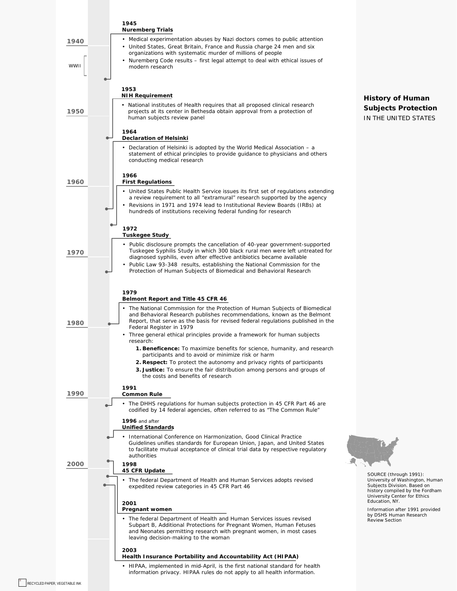